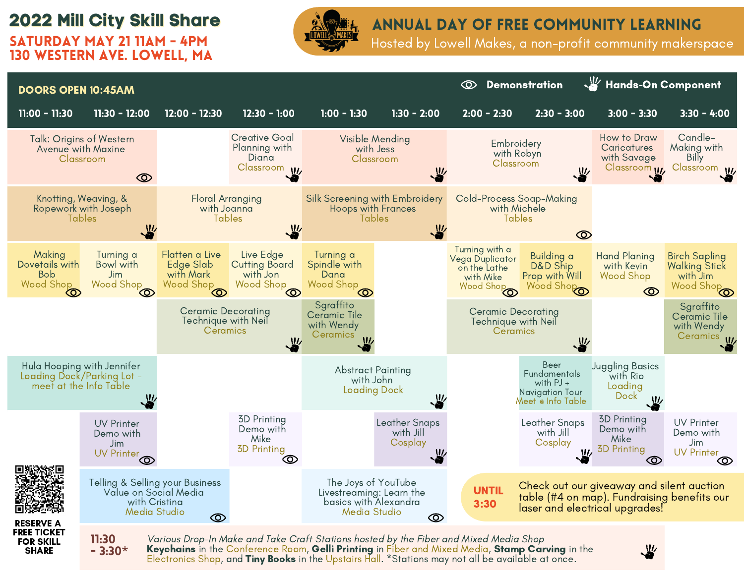## **2022 Mill City Skill Share**

Saturday May 21 11am - 4pm 130 Western Ave. LOWELL, MA



### annual day of free community learning

Hosted by Lowell Makes, a non-profit community makerspace



Electronics Shop, and Tiny Books in the Upstairs Hall. \*Stations may not all be available at once.